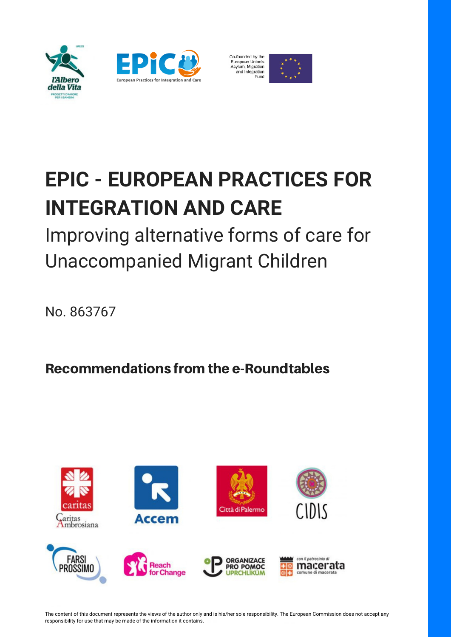



European Union's<br>Asylum, Migration and Integration Fund



# **EPIC - EUROPEAN PRACTICES FOR INTEGRATION AND CARE**

Improving alternative forms of care for Unaccompanied Migrant Children

No. 863767

Recommendations from the e-Roundtables



The content of this document represents the views of the author only and is his/her sole responsibility. The European Commission does not accept any responsibility for use that may be made of the information it contains.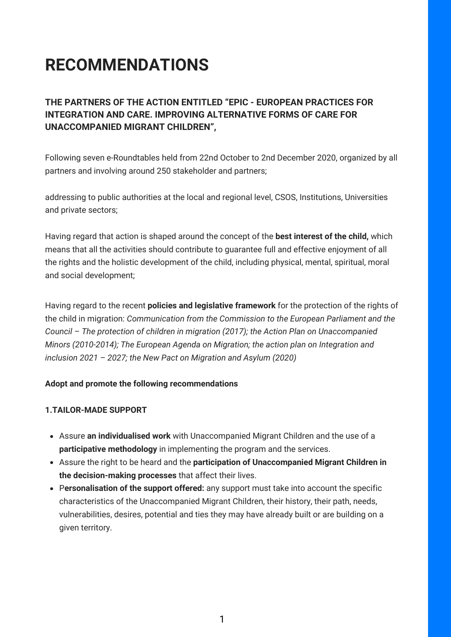## **RECOMMENDATIONS**

### **THE PARTNERS OF THE ACTION ENTITLED "EPIC - EUROPEAN PRACTICES FOR INTEGRATION AND CARE. IMPROVING ALTERNATIVE FORMS OF CARE FOR UNACCOMPANIED MIGRANT CHILDREN",**

Following seven e-Roundtables held from 22nd October to 2nd December 2020, organized by all partners and involving around 250 stakeholder and partners;

addressing to public authorities at the local and regional level, CSOS, Institutions, Universities and private sectors;

Having regard that action is shaped around the concept of the **best interest of the child,** which means that all the activities should contribute to guarantee full and effective enjoyment of all the rights and the holistic development of the child, including physical, mental, spiritual, moral and social development;

Having regard to the recent **policies and legislative framework** for the protection of the rights of the child in migration: *Communication from the Commission to the European Parliament and the Council – The protection of children in migration (2017); the Action Plan on Unaccompanied Minors (2010-2014); The European Agenda on Migration; the action plan on Integration and inclusion 2021 – 2027; the New Pact on Migration and Asylum (2020)*

#### **Adopt and promote the following recommendations**

#### **1.TAILOR-MADE SUPPORT**

- Assure **an individualised work** with Unaccompanied Migrant Children and the use of a **participative methodology** in implementing the program and the services.
- Assure the right to be heard and the **participation of Unaccompanied Migrant Children in the decision-making processes** that affect their lives.
- P**ersonalisation of the support offered:** any support must take into account the specific characteristics of the Unaccompanied Migrant Children, their history, their path, needs, vulnerabilities, desires, potential and ties they may have already built or are building on a given territory.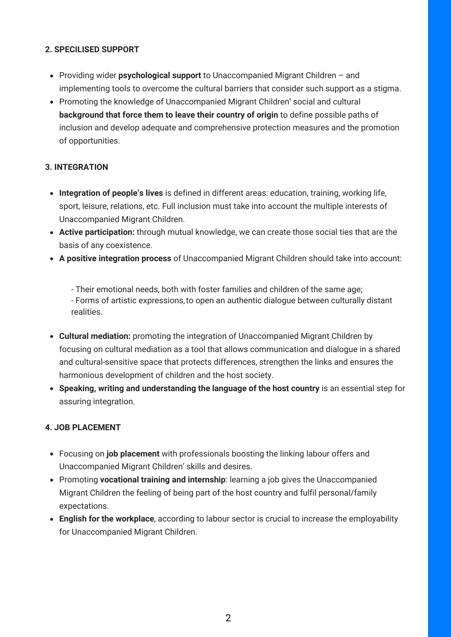#### **2. SPECILISED SUPPORT**

- Providing wider **psychological support** to Unaccompanied Migrant Children and implementing tools to overcome the cultural barriers that consider such support as a stigma.
- Promoting the knowledge of Unaccompanied Migrant Children' social and cultural **background that force them to leave their country of origin** to define possible paths of inclusion and develop adequate and comprehensive protection measures and the promotion of opportunities.

#### **3. INTEGRATION**

- **Integration of people's lives** is defined in different areas: education, training, working life, sport, leisure, relations, etc. Full inclusion must take into account the multiple interests of Unaccompanied Migrant Children.
- **Active participation:** through mutual knowledge, we can create those social ties that are the basis of any coexistence.
- **A positive integration process** of Unaccompanied Migrant Children should take into account:

- Their emotional needs, both with foster families and children of the same age; - Forms of artistic expressions,to open an authentic dialogue between culturally distant realities.

- **Cultural mediation:** promoting the integration of Unaccompanied Migrant Children by focusing on cultural mediation as a tool that allows communication and dialogue in a shared and cultural-sensitive space that protects differences, strengthen the links and ensures the harmonious development of children and the host society.
- **Speaking, writing and understanding the language of the host country** is an essential step for assuring integration.

#### **4. JOB PLACEMENT**

- Focusing on **job placement** with professionals boosting the linking labour offers and Unaccompanied Migrant Children' skills and desires.
- Promoting **vocational training and internship**: learning a job gives the Unaccompanied Migrant Children the feeling of being part of the host country and fulfil personal/family expectations.
- **English for the workplace**, according to labour sector is crucial to increase the employability for Unaccompanied Migrant Children.